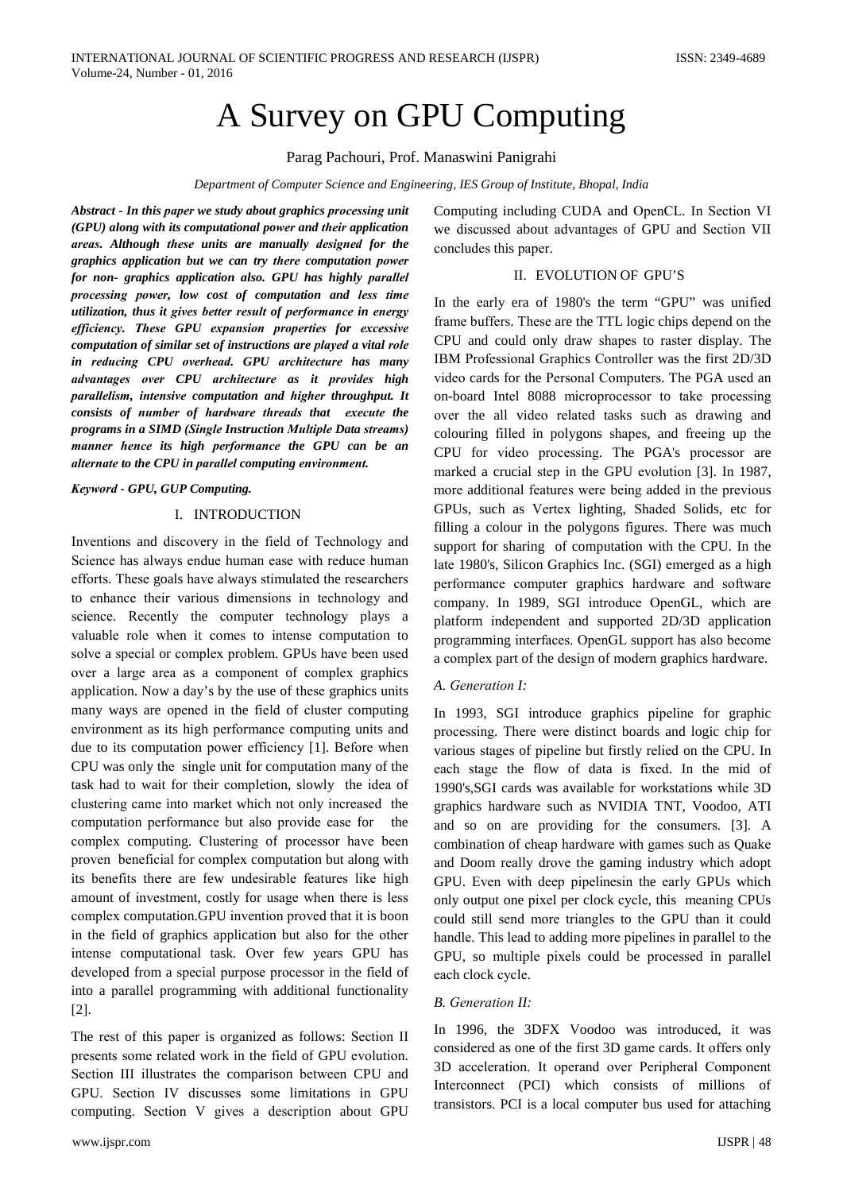# A Survey on GPU Computing

Parag Pachouri, Prof. Manaswini Panigrahi

Department of Computer Science and Engineering, IES Group of Institute, Bhopal, India

Abstract - In this paper we study about graphics processing unit (GPU) along with its computational power and their application areas. Although these units are manually designed for the graphics application but we can try there computation power for non- graphics application also. GPU has highly parallel processing power, low cost of computation and less time utilization, thus it gives better result of performance in energy efficiency. These GPU expansion properties for excessive computation of similar set of instructions are played a vital role in reducing CPU overhead. GPU architecture has many advantages over CPU architecture as it provides high parallelism, intensive computation and higher throughput. It consists of number of hardware threads that execute the programs in a SIMD (Single Instruction Multiple Data streams) manner hence its high performance the GPU can be an alternate to the CPU in parallel computing environment.

Keyword - GPU, GUP Computing.

#### I. INTRODUCTION

Inventions and discovery in the field of Technology and Science has always endue human ease with reduce human efforts. These goals have always stimulated the researchers to enhance their various dimensions in technology and science. Recently the computer technology plays a valuable role when it comes to intense computation to solve a special or complex problem. GPUs have been used over a large area as a component of complex graphics application. Now a day's by the use of these graphics units many ways are opened in the field of cluster computing environment as its high performance computing units and due to its computation power efficiency [1]. Before when CPU was only the single unit for computation many of the task had to wait for their completion, slowly the idea of clustering came into market which not only increased the computation performance but also provide ease for the complex computing. Clustering of processor have been proven beneficial for complex computation but along with its benefits there are few undesirable features like high amount of investment, costly for usage when there is less complex computation.GPU invention proved that it is boon in the field of graphics application but also for the other intense computational task. Over few years GPU has developed from a special purpose processor in the field of into a parallel programming with additional functionality  $[2]$ .

The rest of this paper is organized as follows: Section II presents some related work in the field of GPU evolution. Section III illustrates the comparison between CPU and GPU. Section IV discusses some limitations in GPU computing. Section V gives a description about GPU

Computing including CUDA and OpenCL. In Section VI we discussed about advantages of GPU and Section VII concludes this paper.

## II. EVOLUTION OF GPU'S

In the early era of 1980's the term "GPU" was unified frame buffers. These are the TTL logic chips depend on the CPU and could only draw shapes to raster display. The IBM Professional Graphics Controller was the first 2D/3D video cards for the Personal Computers. The PGA used an on-board Intel 8088 microprocessor to take processing over the all video related tasks such as drawing and colouring filled in polygons shapes, and freeing up the CPU for video processing. The PGA's processor are marked a crucial step in the GPU evolution [3]. In 1987, more additional features were being added in the previous GPUs, such as Vertex lighting, Shaded Solids, etc for filling a colour in the polygons figures. There was much support for sharing of computation with the CPU. In the late 1980's, Silicon Graphics Inc. (SGI) emerged as a high performance computer graphics hardware and software company. In 1989, SGI introduce OpenGL, which are platform independent and supported 2D/3D application programming interfaces. OpenGL support has also become a complex part of the design of modern graphics hardware.

### A. Generation I:

In 1993, SGI introduce graphics pipeline for graphic processing. There were distinct boards and logic chip for various stages of pipeline but firstly relied on the CPU. In each stage the flow of data is fixed. In the mid of 1990's, SGI cards was available for workstations while 3D graphics hardware such as NVIDIA TNT, Voodoo, ATI and so on are providing for the consumers. [3]. A combination of cheap hardware with games such as Quake and Doom really drove the gaming industry which adopt GPU. Even with deep pipelinesin the early GPUs which only output one pixel per clock cycle, this meaning CPUs could still send more triangles to the GPU than it could handle. This lead to adding more pipelines in parallel to the GPU, so multiple pixels could be processed in parallel each clock cycle.

#### **B.** Generation II:

In 1996, the 3DFX Voodoo was introduced, it was considered as one of the first 3D game cards. It offers only 3D acceleration. It operand over Peripheral Component Interconnect (PCI) which consists of millions of transistors. PCI is a local computer bus used for attaching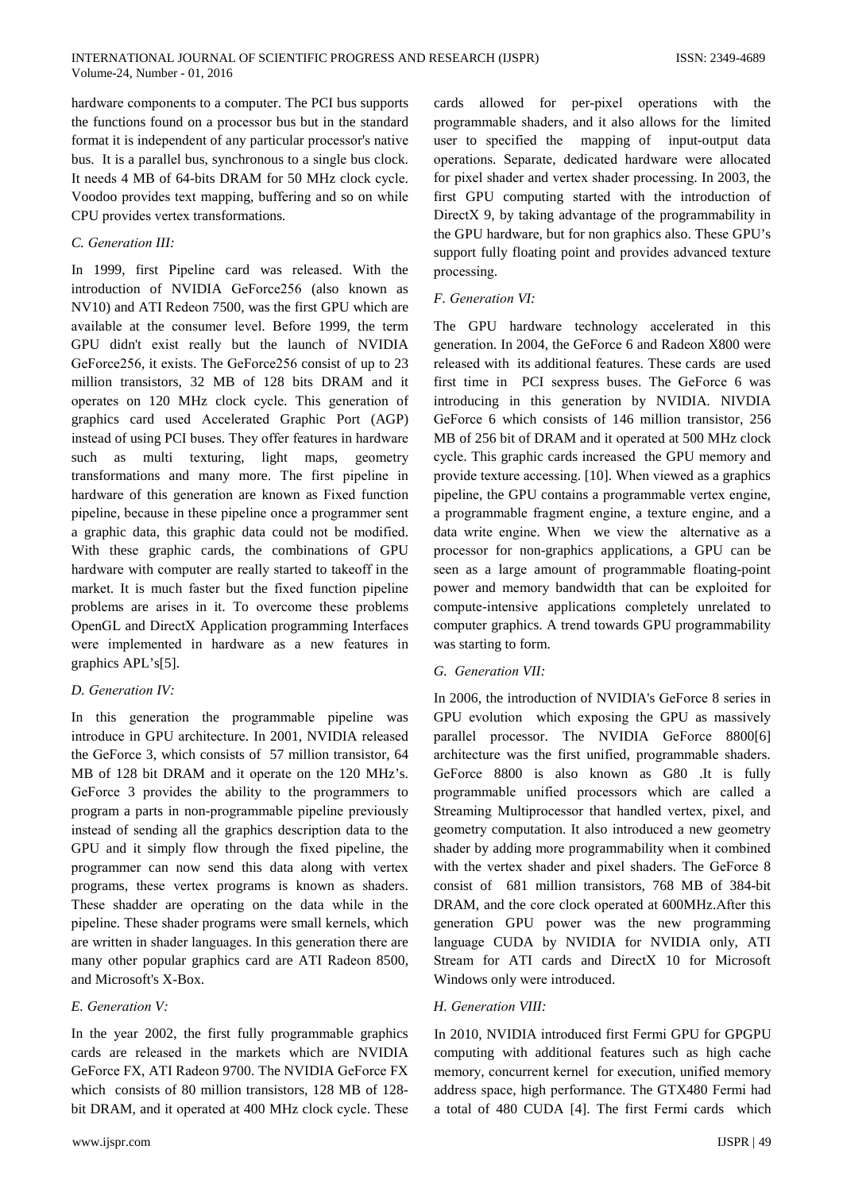hardware components to a computer. The PCI bus supports the functions found on a processor bus but in the standard format it is independent of any particular processor's native bus. It is a parallel bus, synchronous to a single bus clock. It needs 4 MB of 64-bits DRAM for 50 MHz clock cycle. Voodoo provides text mapping, buffering and so on while CPU provides vertex transformations.

# C. Generation III:

In 1999, first Pipeline card was released. With the introduction of NVIDIA GeForce256 (also known as NV10) and ATI Redeon 7500, was the first GPU which are available at the consumer level. Before 1999, the term GPU didn't exist really but the launch of NVIDIA GeForce256, it exists. The GeForce256 consist of up to 23 million transistors, 32 MB of 128 bits DRAM and it operates on 120 MHz clock cycle. This generation of graphics card used Accelerated Graphic Port (AGP) instead of using PCI buses. They offer features in hardware such as multi texturing, light maps, geometry transformations and many more. The first pipeline in hardware of this generation are known as Fixed function pipeline, because in these pipeline once a programmer sent a graphic data, this graphic data could not be modified. With these graphic cards, the combinations of GPU hardware with computer are really started to takeoff in the market. It is much faster but the fixed function pipeline problems are arises in it. To overcome these problems OpenGL and DirectX Application programming Interfaces were implemented in hardware as a new features in graphics APL's[5].

# D. Generation IV:

In this generation the programmable pipeline was introduce in GPU architecture. In 2001, NVIDIA released the GeForce 3, which consists of 57 million transistor, 64 MB of 128 bit DRAM and it operate on the 120 MHz's. GeForce 3 provides the ability to the programmers to program a parts in non-programmable pipeline previously instead of sending all the graphics description data to the GPU and it simply flow through the fixed pipeline, the programmer can now send this data along with vertex programs, these vertex programs is known as shaders. These shadder are operating on the data while in the pipeline. These shader programs were small kernels, which are written in shader languages. In this generation there are many other popular graphics card are ATI Radeon 8500, and Microsoft's X-Box.

# $E.$  Generation  $V:$

In the year 2002, the first fully programmable graphics cards are released in the markets which are NVIDIA GeForce FX, ATI Radeon 9700. The NVIDIA GeForce FX which consists of 80 million transistors, 128 MB of 128bit DRAM, and it operated at 400 MHz clock cycle. These

cards allowed for per-pixel operations with the programmable shaders, and it also allows for the limited user to specified the mapping of input-output data operations. Separate, dedicated hardware were allocated for pixel shader and vertex shader processing. In 2003, the first GPU computing started with the introduction of DirectX 9, by taking advantage of the programmability in the GPU hardware, but for non graphics also. These GPU's support fully floating point and provides advanced texture processing.

# F. Generation VI:

The GPU hardware technology accelerated in this generation. In 2004, the GeForce 6 and Radeon X800 were released with its additional features. These cards are used first time in PCI sexpress buses. The GeForce 6 was introducing in this generation by NVIDIA. NIVDIA GeForce 6 which consists of 146 million transistor, 256 MB of 256 bit of DRAM and it operated at 500 MHz clock cycle. This graphic cards increased the GPU memory and provide texture accessing. [10]. When viewed as a graphics pipeline, the GPU contains a programmable vertex engine, a programmable fragment engine, a texture engine, and a data write engine. When we view the alternative as a processor for non-graphics applications, a GPU can be seen as a large amount of programmable floating-point power and memory bandwidth that can be exploited for compute-intensive applications completely unrelated to computer graphics. A trend towards GPU programmability was starting to form.

# G. Generation VII:

In 2006, the introduction of NVIDIA's GeForce 8 series in GPU evolution which exposing the GPU as massively parallel processor. The NVIDIA GeForce 8800[6] architecture was the first unified, programmable shaders. GeForce 8800 is also known as G80 .It is fully programmable unified processors which are called a Streaming Multiprocessor that handled vertex, pixel, and geometry computation. It also introduced a new geometry shader by adding more programmability when it combined with the vertex shader and pixel shaders. The GeForce 8 consist of 681 million transistors, 768 MB of 384-bit DRAM, and the core clock operated at 600MHz.After this generation GPU power was the new programming language CUDA by NVIDIA for NVIDIA only, ATI Stream for ATI cards and DirectX 10 for Microsoft Windows only were introduced.

## H. Generation VIII:

In 2010, NVIDIA introduced first Fermi GPU for GPGPU computing with additional features such as high cache memory, concurrent kernel for execution, unified memory address space, high performance. The GTX480 Fermi had a total of 480 CUDA [4]. The first Fermi cards which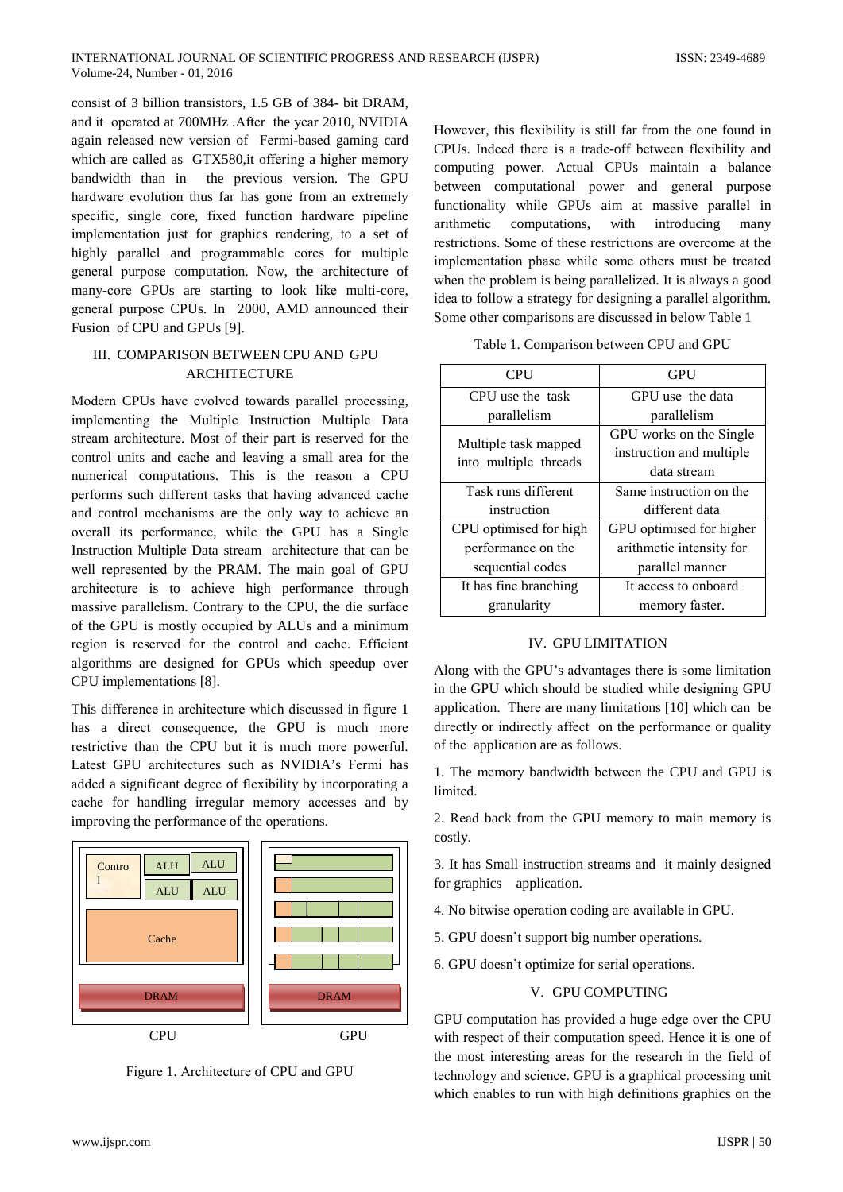consist of 3 billion transistors, 1.5 GB of 384- bit DRAM. and it operated at 700MHz. After the year 2010, NVIDIA again released new version of Fermi-based gaming card which are called as GTX580, it offering a higher memory bandwidth than in the previous version. The GPU hardware evolution thus far has gone from an extremely specific, single core, fixed function hardware pipeline implementation just for graphics rendering, to a set of highly parallel and programmable cores for multiple general purpose computation. Now, the architecture of many-core GPUs are starting to look like multi-core, general purpose CPUs. In 2000, AMD announced their Fusion of CPU and GPUs [9].

# III. COMPARISON BETWEEN CPU AND GPU **ARCHITECTURE**

Modern CPUs have evolved towards parallel processing, implementing the Multiple Instruction Multiple Data stream architecture. Most of their part is reserved for the control units and cache and leaving a small area for the numerical computations. This is the reason a CPU performs such different tasks that having advanced cache and control mechanisms are the only way to achieve an overall its performance, while the GPU has a Single Instruction Multiple Data stream architecture that can be well represented by the PRAM. The main goal of GPU architecture is to achieve high performance through massive parallelism. Contrary to the CPU, the die surface of the GPU is mostly occupied by ALUs and a minimum region is reserved for the control and cache. Efficient algorithms are designed for GPUs which speedup over CPU implementations [8].

This difference in architecture which discussed in figure 1 has a direct consequence, the GPU is much more restrictive than the CPU but it is much more powerful. Latest GPU architectures such as NVIDIA's Fermi has added a significant degree of flexibility by incorporating a cache for handling irregular memory accesses and by improving the performance of the operations.



Figure 1. Architecture of CPU and GPU

However, this flexibility is still far from the one found in CPUs. Indeed there is a trade-off between flexibility and computing power. Actual CPUs maintain a balance between computational power and general purpose functionality while GPUs aim at massive parallel in arithmetic computations, with introducing many restrictions. Some of these restrictions are overcome at the implementation phase while some others must be treated when the problem is being parallelized. It is always a good idea to follow a strategy for designing a parallel algorithm. Some other comparisons are discussed in below Table 1

| Table 1. Comparison between CPU and GPU |  |  |
|-----------------------------------------|--|--|
|                                         |  |  |

| <b>CPU</b>                                    | <b>GPU</b>               |  |  |
|-----------------------------------------------|--------------------------|--|--|
| CPU use the task                              | GPU use the data         |  |  |
| parallelism                                   | parallelism              |  |  |
|                                               | GPU works on the Single  |  |  |
| Multiple task mapped<br>into multiple threads | instruction and multiple |  |  |
|                                               | data stream              |  |  |
| Task runs different                           | Same instruction on the  |  |  |
| instruction                                   | different data           |  |  |
| CPU optimised for high                        | GPU optimised for higher |  |  |
| performance on the                            | arithmetic intensity for |  |  |
| sequential codes                              | parallel manner          |  |  |
| It has fine branching                         | It access to onboard     |  |  |
| granularity                                   | memory faster.           |  |  |

### **IV. GPU LIMITATION**

Along with the GPU's advantages there is some limitation in the GPU which should be studied while designing GPU application. There are many limitations [10] which can be directly or indirectly affect on the performance or quality of the application are as follows.

1. The memory bandwidth between the CPU and GPU is limited.

2. Read back from the GPU memory to main memory is costly.

3. It has Small instruction streams and it mainly designed for graphics application.

4. No bitwise operation coding are available in GPU.

- 5. GPU doesn't support big number operations.
- 6. GPU doesn't optimize for serial operations.

#### V. GPU COMPUTING

GPU computation has provided a huge edge over the CPU with respect of their computation speed. Hence it is one of the most interesting areas for the research in the field of technology and science. GPU is a graphical processing unit which enables to run with high definitions graphics on the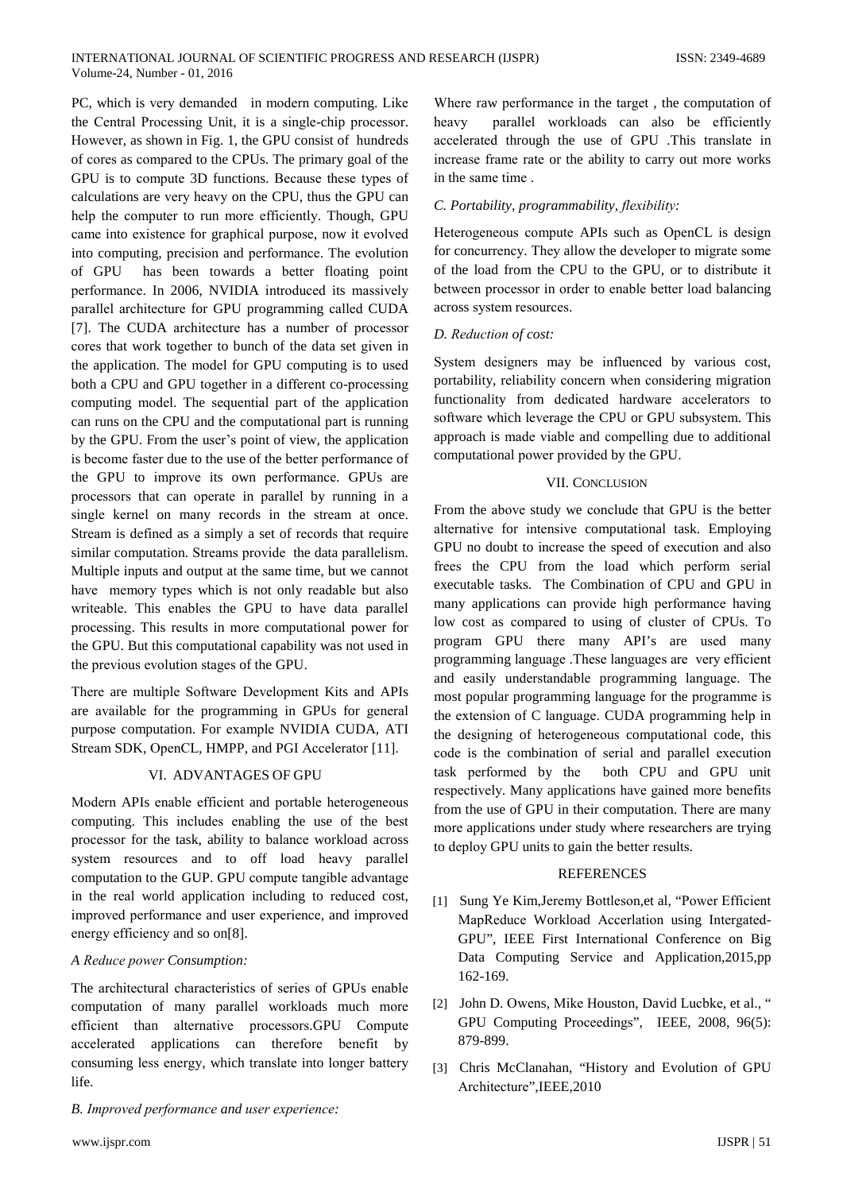PC, which is very demanded in modern computing. Like the Central Processing Unit, it is a single-chip processor. However, as shown in Fig. 1, the GPU consist of hundreds of cores as compared to the CPUs. The primary goal of the GPU is to compute 3D functions. Because these types of calculations are very heavy on the CPU, thus the GPU can help the computer to run more efficiently. Though, GPU came into existence for graphical purpose, now it evolved into computing, precision and performance. The evolution has been towards a better floating point of GPU performance. In 2006, NVIDIA introduced its massively parallel architecture for GPU programming called CUDA [7]. The CUDA architecture has a number of processor cores that work together to bunch of the data set given in the application. The model for GPU computing is to used both a CPU and GPU together in a different co-processing computing model. The sequential part of the application can runs on the CPU and the computational part is running by the GPU. From the user's point of view, the application is become faster due to the use of the better performance of the GPU to improve its own performance. GPUs are processors that can operate in parallel by running in a single kernel on many records in the stream at once. Stream is defined as a simply a set of records that require similar computation. Streams provide the data parallelism. Multiple inputs and output at the same time, but we cannot have memory types which is not only readable but also writeable. This enables the GPU to have data parallel processing. This results in more computational power for the GPU. But this computational capability was not used in the previous evolution stages of the GPU.

There are multiple Software Development Kits and APIs are available for the programming in GPUs for general purpose computation. For example NVIDIA CUDA, ATI Stream SDK, OpenCL, HMPP, and PGI Accelerator [11].

## VI. ADVANTAGES OF GPU

Modern APIs enable efficient and portable heterogeneous computing. This includes enabling the use of the best processor for the task, ability to balance workload across system resources and to off load heavy parallel computation to the GUP. GPU compute tangible advantage in the real world application including to reduced cost, improved performance and user experience, and improved energy efficiency and so on[8].

## A Reduce power Consumption:

The architectural characteristics of series of GPUs enable computation of many parallel workloads much more efficient than alternative processors.GPU Compute accelerated applications can therefore benefit by consuming less energy, which translate into longer battery life.

B. Improved performance and user experience:

Where raw performance in the target, the computation of parallel workloads can also be efficiently heavy accelerated through the use of GPU .This translate in increase frame rate or the ability to carry out more works in the same time.

# C. Portability, programmability, flexibility:

Heterogeneous compute APIs such as OpenCL is design for concurrency. They allow the developer to migrate some of the load from the CPU to the GPU, or to distribute it between processor in order to enable better load balancing across system resources.

# D. Reduction of cost:

System designers may be influenced by various cost, portability, reliability concern when considering migration functionality from dedicated hardware accelerators to software which leverage the CPU or GPU subsystem. This approach is made viable and compelling due to additional computational power provided by the GPU.

# **VII. CONCLUSION**

From the above study we conclude that GPU is the better alternative for intensive computational task. Employing GPU no doubt to increase the speed of execution and also frees the CPU from the load which perform serial executable tasks. The Combination of CPU and GPU in many applications can provide high performance having low cost as compared to using of cluster of CPUs. To program GPU there many API's are used many programming language. These languages are very efficient and easily understandable programming language. The most popular programming language for the programme is the extension of C language. CUDA programming help in the designing of heterogeneous computational code, this code is the combination of serial and parallel execution task performed by the both CPU and GPU unit respectively. Many applications have gained more benefits from the use of GPU in their computation. There are many more applications under study where researchers are trying to deploy GPU units to gain the better results.

# **REFERENCES**

- [1] Sung Ye Kim, Jeremy Bottleson, et al, "Power Efficient" MapReduce Workload Accerlation using Intergated-GPU", IEEE First International Conference on Big Data Computing Service and Application, 2015, pp 162-169.
- [2] John D. Owens, Mike Houston, David Lucbke, et al., " GPU Computing Proceedings", IEEE, 2008, 96(5): 879-899.
- [3] Chris McClanahan, "History and Evolution of GPU Architecture", IEEE, 2010